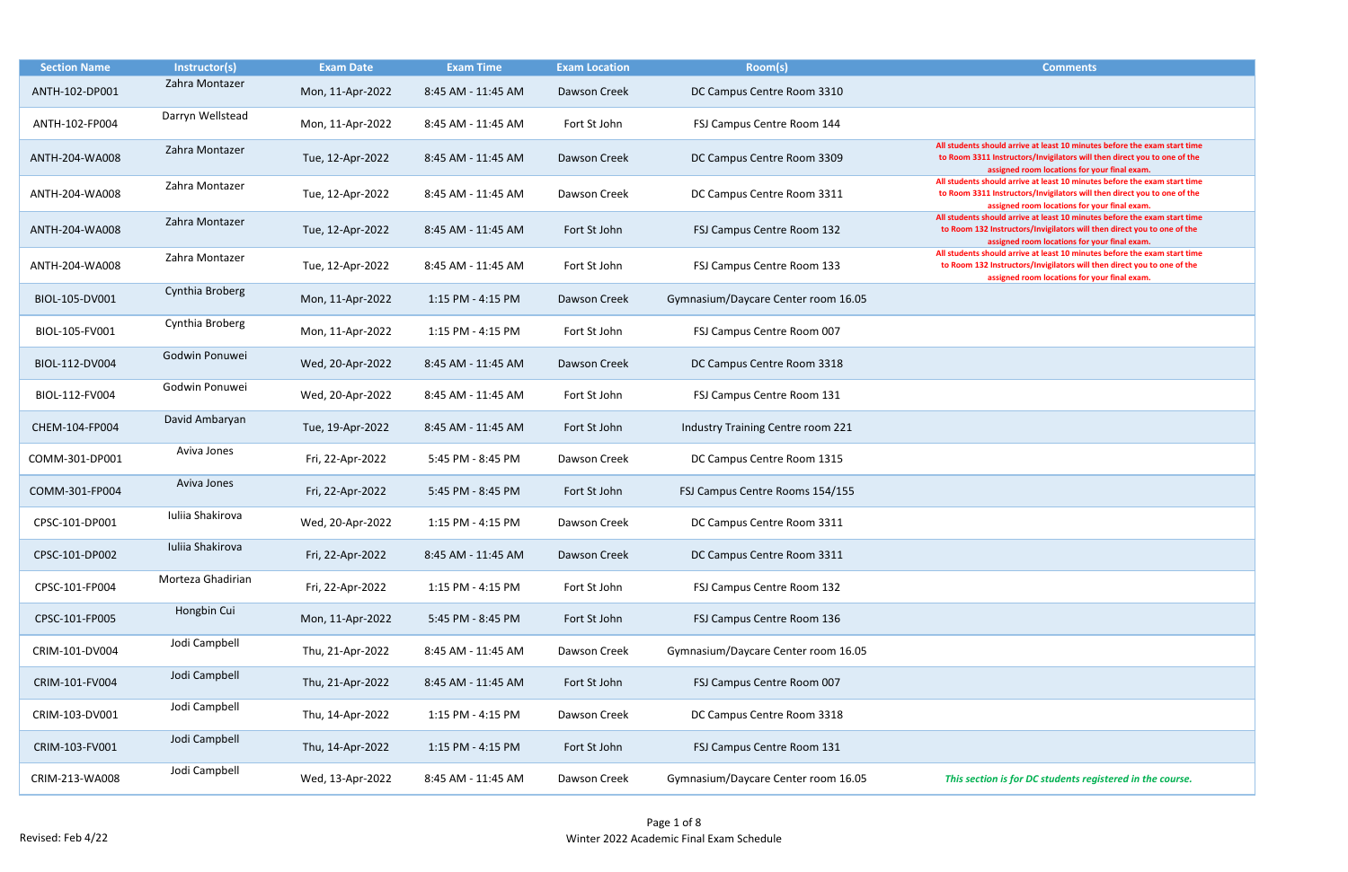| All students should arrive at least 10 minutes before the exam start time<br>to Room 3311 Instructors/Invigilators will then direct you to one of the<br>assigned room locations for your final exam. |
|-------------------------------------------------------------------------------------------------------------------------------------------------------------------------------------------------------|
| All students should arrive at least 10 minutes before the exam start time<br>to Room 3311 Instructors/Invigilators will then direct you to one of the<br>assigned room locations for your final exam. |
| All students should arrive at least 10 minutes before the exam start time<br>to Room 132 Instructors/Invigilators will then direct you to one of the<br>assigned room locations for your final exam.  |
| All students should arrive at least 10 minutes before the exam start time<br>to Room 132 Instructors/Invigilators will then direct you to one of the<br>assigned room locations for your final exam.  |
|                                                                                                                                                                                                       |
|                                                                                                                                                                                                       |
|                                                                                                                                                                                                       |
|                                                                                                                                                                                                       |
|                                                                                                                                                                                                       |
|                                                                                                                                                                                                       |
|                                                                                                                                                                                                       |
|                                                                                                                                                                                                       |
|                                                                                                                                                                                                       |
|                                                                                                                                                                                                       |
|                                                                                                                                                                                                       |
|                                                                                                                                                                                                       |
|                                                                                                                                                                                                       |
|                                                                                                                                                                                                       |
| This section is for DC students registered in the course.                                                                                                                                             |

| <b>Section Name</b> | Instructor(s)     | <b>Exam Date</b> | <b>Exam Time</b>   | <b>Exam Location</b> | Room(s)                             | <b>Comments</b>                                                                                                                                                                                   |
|---------------------|-------------------|------------------|--------------------|----------------------|-------------------------------------|---------------------------------------------------------------------------------------------------------------------------------------------------------------------------------------------------|
| ANTH-102-DP001      | Zahra Montazer    | Mon, 11-Apr-2022 | 8:45 AM - 11:45 AM | Dawson Creek         | DC Campus Centre Room 3310          |                                                                                                                                                                                                   |
| ANTH-102-FP004      | Darryn Wellstead  | Mon, 11-Apr-2022 | 8:45 AM - 11:45 AM | Fort St John         | FSJ Campus Centre Room 144          |                                                                                                                                                                                                   |
| ANTH-204-WA008      | Zahra Montazer    | Tue, 12-Apr-2022 | 8:45 AM - 11:45 AM | Dawson Creek         | DC Campus Centre Room 3309          | All students should arrive at least 10 minutes before the exam start ti<br>to Room 3311 Instructors/Invigilators will then direct you to one of t<br>assigned room locations for your final exam. |
| ANTH-204-WA008      | Zahra Montazer    | Tue, 12-Apr-2022 | 8:45 AM - 11:45 AM | Dawson Creek         | DC Campus Centre Room 3311          | All students should arrive at least 10 minutes before the exam start ti<br>to Room 3311 Instructors/Invigilators will then direct you to one of t<br>assigned room locations for your final exam. |
| ANTH-204-WA008      | Zahra Montazer    | Tue, 12-Apr-2022 | 8:45 AM - 11:45 AM | Fort St John         | FSJ Campus Centre Room 132          | All students should arrive at least 10 minutes before the exam start ti<br>to Room 132 Instructors/Invigilators will then direct you to one of th<br>assigned room locations for your final exam. |
| ANTH-204-WA008      | Zahra Montazer    | Tue, 12-Apr-2022 | 8:45 AM - 11:45 AM | Fort St John         | FSJ Campus Centre Room 133          | All students should arrive at least 10 minutes before the exam start ti<br>to Room 132 Instructors/Invigilators will then direct you to one of th<br>assigned room locations for your final exam. |
| BIOL-105-DV001      | Cynthia Broberg   | Mon, 11-Apr-2022 | 1:15 PM - 4:15 PM  | Dawson Creek         | Gymnasium/Daycare Center room 16.05 |                                                                                                                                                                                                   |
| BIOL-105-FV001      | Cynthia Broberg   | Mon, 11-Apr-2022 | 1:15 PM - 4:15 PM  | Fort St John         | FSJ Campus Centre Room 007          |                                                                                                                                                                                                   |
| BIOL-112-DV004      | Godwin Ponuwei    | Wed, 20-Apr-2022 | 8:45 AM - 11:45 AM | Dawson Creek         | DC Campus Centre Room 3318          |                                                                                                                                                                                                   |
| BIOL-112-FV004      | Godwin Ponuwei    | Wed, 20-Apr-2022 | 8:45 AM - 11:45 AM | Fort St John         | FSJ Campus Centre Room 131          |                                                                                                                                                                                                   |
| CHEM-104-FP004      | David Ambaryan    | Tue, 19-Apr-2022 | 8:45 AM - 11:45 AM | Fort St John         | Industry Training Centre room 221   |                                                                                                                                                                                                   |
| COMM-301-DP001      | Aviva Jones       | Fri, 22-Apr-2022 | 5:45 PM - 8:45 PM  | Dawson Creek         | DC Campus Centre Room 1315          |                                                                                                                                                                                                   |
| COMM-301-FP004      | Aviva Jones       | Fri, 22-Apr-2022 | 5:45 PM - 8:45 PM  | Fort St John         | FSJ Campus Centre Rooms 154/155     |                                                                                                                                                                                                   |
| CPSC-101-DP001      | Iuliia Shakirova  | Wed, 20-Apr-2022 | 1:15 PM - 4:15 PM  | Dawson Creek         | DC Campus Centre Room 3311          |                                                                                                                                                                                                   |
| CPSC-101-DP002      | Iuliia Shakirova  | Fri, 22-Apr-2022 | 8:45 AM - 11:45 AM | Dawson Creek         | DC Campus Centre Room 3311          |                                                                                                                                                                                                   |
| CPSC-101-FP004      | Morteza Ghadirian | Fri, 22-Apr-2022 | 1:15 PM - 4:15 PM  | Fort St John         | FSJ Campus Centre Room 132          |                                                                                                                                                                                                   |
| CPSC-101-FP005      | Hongbin Cui       | Mon, 11-Apr-2022 | 5:45 PM - 8:45 PM  | Fort St John         | FSJ Campus Centre Room 136          |                                                                                                                                                                                                   |
| CRIM-101-DV004      | Jodi Campbell     | Thu, 21-Apr-2022 | 8:45 AM - 11:45 AM | Dawson Creek         | Gymnasium/Daycare Center room 16.05 |                                                                                                                                                                                                   |
| CRIM-101-FV004      | Jodi Campbell     | Thu, 21-Apr-2022 | 8:45 AM - 11:45 AM | Fort St John         | FSJ Campus Centre Room 007          |                                                                                                                                                                                                   |
| CRIM-103-DV001      | Jodi Campbell     | Thu, 14-Apr-2022 | 1:15 PM - 4:15 PM  | Dawson Creek         | DC Campus Centre Room 3318          |                                                                                                                                                                                                   |
| CRIM-103-FV001      | Jodi Campbell     | Thu, 14-Apr-2022 | 1:15 PM - 4:15 PM  | Fort St John         | FSJ Campus Centre Room 131          |                                                                                                                                                                                                   |
| CRIM-213-WA008      | Jodi Campbell     | Wed, 13-Apr-2022 | 8:45 AM - 11:45 AM | Dawson Creek         | Gymnasium/Daycare Center room 16.05 | This section is for DC students registered in the course.                                                                                                                                         |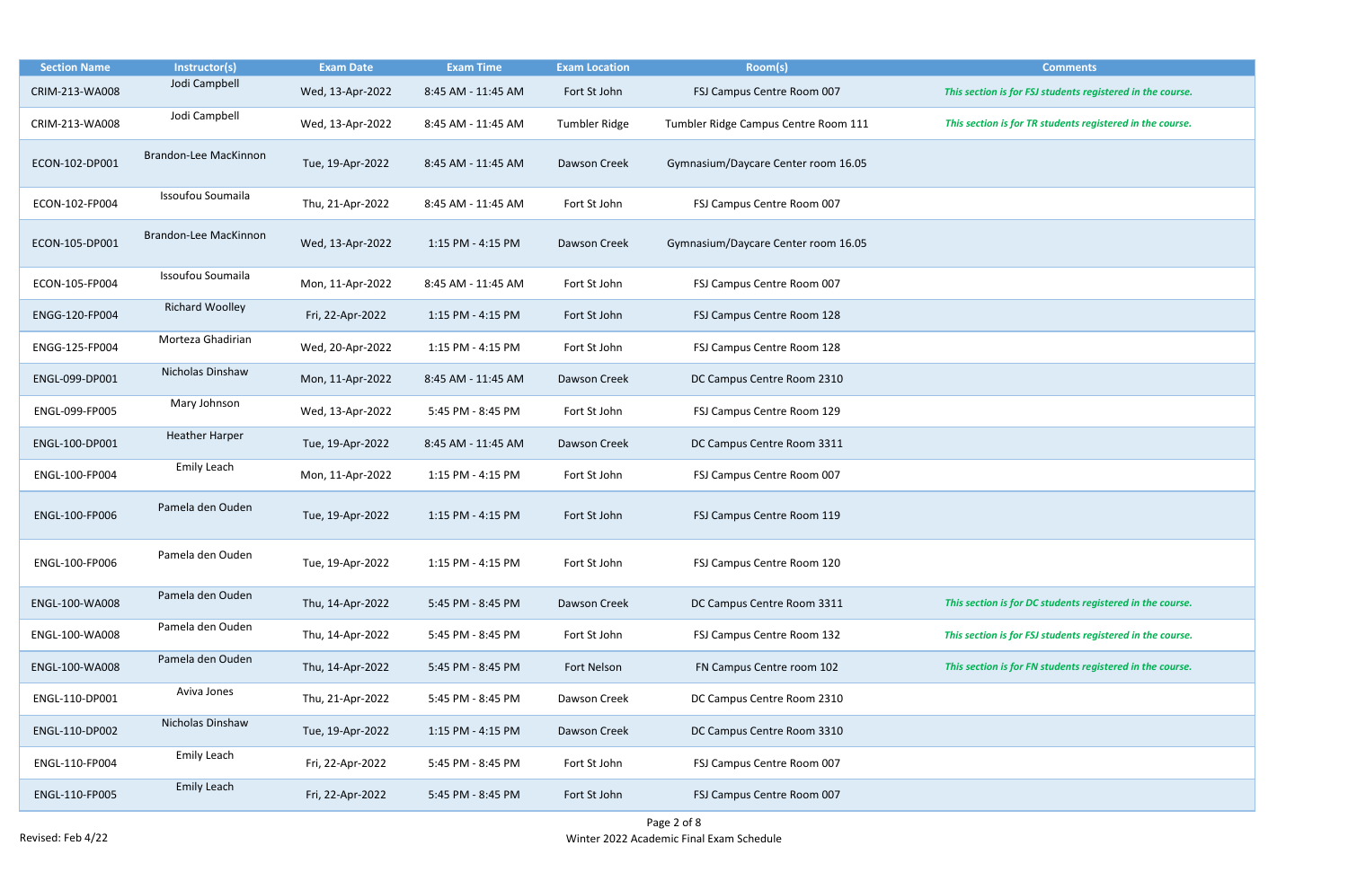| <b>Section Name</b> | Instructor(s)          | <b>Exam Date</b> | <b>Exam Time</b>   | <b>Exam Location</b> | Room(s)                              | <b>Comments</b>                                            |
|---------------------|------------------------|------------------|--------------------|----------------------|--------------------------------------|------------------------------------------------------------|
| CRIM-213-WA008      | Jodi Campbell          | Wed, 13-Apr-2022 | 8:45 AM - 11:45 AM | Fort St John         | FSJ Campus Centre Room 007           | This section is for FSJ students registered in the course. |
| CRIM-213-WA008      | Jodi Campbell          | Wed, 13-Apr-2022 | 8:45 AM - 11:45 AM | <b>Tumbler Ridge</b> | Tumbler Ridge Campus Centre Room 111 | This section is for TR students registered in the course.  |
| ECON-102-DP001      | Brandon-Lee MacKinnon  | Tue, 19-Apr-2022 | 8:45 AM - 11:45 AM | Dawson Creek         | Gymnasium/Daycare Center room 16.05  |                                                            |
| ECON-102-FP004      | Issoufou Soumaila      | Thu, 21-Apr-2022 | 8:45 AM - 11:45 AM | Fort St John         | FSJ Campus Centre Room 007           |                                                            |
| ECON-105-DP001      | Brandon-Lee MacKinnon  | Wed, 13-Apr-2022 | 1:15 PM - 4:15 PM  | Dawson Creek         | Gymnasium/Daycare Center room 16.05  |                                                            |
| ECON-105-FP004      | Issoufou Soumaila      | Mon, 11-Apr-2022 | 8:45 AM - 11:45 AM | Fort St John         | FSJ Campus Centre Room 007           |                                                            |
| ENGG-120-FP004      | <b>Richard Woolley</b> | Fri, 22-Apr-2022 | 1:15 PM - 4:15 PM  | Fort St John         | FSJ Campus Centre Room 128           |                                                            |
| ENGG-125-FP004      | Morteza Ghadirian      | Wed, 20-Apr-2022 | 1:15 PM - 4:15 PM  | Fort St John         | FSJ Campus Centre Room 128           |                                                            |
| ENGL-099-DP001      | Nicholas Dinshaw       | Mon, 11-Apr-2022 | 8:45 AM - 11:45 AM | Dawson Creek         | DC Campus Centre Room 2310           |                                                            |
| ENGL-099-FP005      | Mary Johnson           | Wed, 13-Apr-2022 | 5:45 PM - 8:45 PM  | Fort St John         | FSJ Campus Centre Room 129           |                                                            |
| ENGL-100-DP001      | <b>Heather Harper</b>  | Tue, 19-Apr-2022 | 8:45 AM - 11:45 AM | Dawson Creek         | DC Campus Centre Room 3311           |                                                            |
| ENGL-100-FP004      | Emily Leach            | Mon, 11-Apr-2022 | 1:15 PM - 4:15 PM  | Fort St John         | FSJ Campus Centre Room 007           |                                                            |
| ENGL-100-FP006      | Pamela den Ouden       | Tue, 19-Apr-2022 | 1:15 PM - 4:15 PM  | Fort St John         | FSJ Campus Centre Room 119           |                                                            |
| ENGL-100-FP006      | Pamela den Ouden       | Tue, 19-Apr-2022 | 1:15 PM - 4:15 PM  | Fort St John         | FSJ Campus Centre Room 120           |                                                            |
| ENGL-100-WA008      | Pamela den Ouden       | Thu, 14-Apr-2022 | 5:45 PM - 8:45 PM  | Dawson Creek         | DC Campus Centre Room 3311           | This section is for DC students registered in the course.  |
| ENGL-100-WA008      | Pamela den Ouden       | Thu, 14-Apr-2022 | 5:45 PM - 8:45 PM  | Fort St John         | FSJ Campus Centre Room 132           | This section is for FSJ students registered in the course. |
| ENGL-100-WA008      | Pamela den Ouden       | Thu, 14-Apr-2022 | 5:45 PM - 8:45 PM  | Fort Nelson          | FN Campus Centre room 102            | This section is for FN students registered in the course.  |
| ENGL-110-DP001      | Aviva Jones            | Thu, 21-Apr-2022 | 5:45 PM - 8:45 PM  | Dawson Creek         | DC Campus Centre Room 2310           |                                                            |
| ENGL-110-DP002      | Nicholas Dinshaw       | Tue, 19-Apr-2022 | 1:15 PM - 4:15 PM  | Dawson Creek         | DC Campus Centre Room 3310           |                                                            |
| ENGL-110-FP004      | <b>Emily Leach</b>     | Fri, 22-Apr-2022 | 5:45 PM - 8:45 PM  | Fort St John         | FSJ Campus Centre Room 007           |                                                            |
| ENGL-110-FP005      | <b>Emily Leach</b>     | Fri, 22-Apr-2022 | 5:45 PM - 8:45 PM  | Fort St John         | FSJ Campus Centre Room 007           |                                                            |

| <b>Comments</b>                                  |
|--------------------------------------------------|
| on is for FSJ students registered in the course. |
| on is for TR students registered in the course.  |
|                                                  |
|                                                  |
|                                                  |
|                                                  |
|                                                  |
|                                                  |
|                                                  |
|                                                  |
|                                                  |
|                                                  |
|                                                  |
|                                                  |
|                                                  |
|                                                  |
|                                                  |
|                                                  |
|                                                  |
| on is for DC students registered in the course.  |
| on is for FSJ students registered in the course. |
| on is for FN students registered in the course.  |
|                                                  |
|                                                  |
|                                                  |
|                                                  |
|                                                  |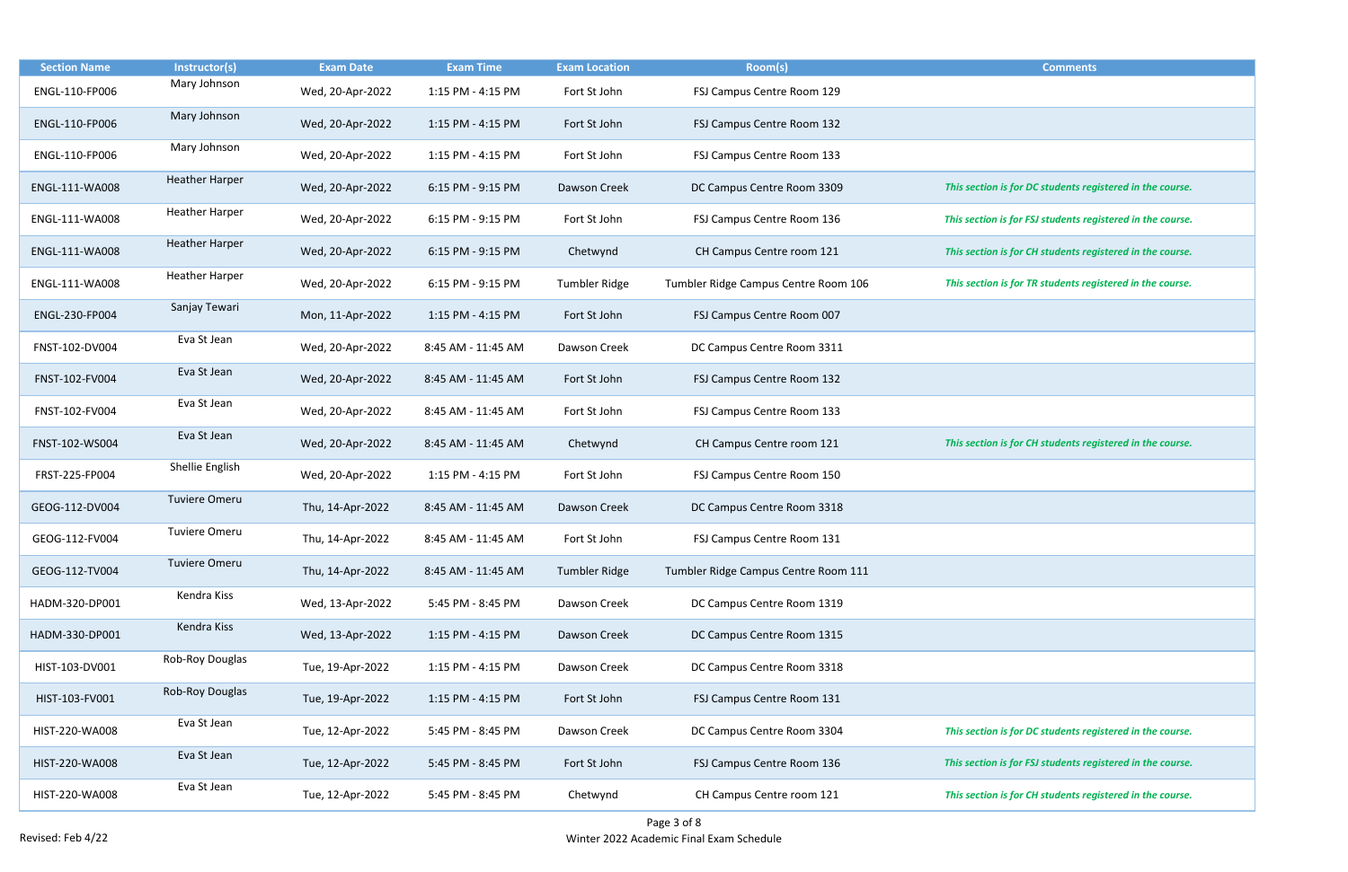| <b>Section Name</b> | Instructor(s)         | <b>Exam Date</b> | <b>Exam Time</b>   | <b>Exam Location</b> | Room(s)                              | <b>Comments</b>                                            |
|---------------------|-----------------------|------------------|--------------------|----------------------|--------------------------------------|------------------------------------------------------------|
| ENGL-110-FP006      | Mary Johnson          | Wed, 20-Apr-2022 | 1:15 PM - 4:15 PM  | Fort St John         | FSJ Campus Centre Room 129           |                                                            |
| ENGL-110-FP006      | Mary Johnson          | Wed, 20-Apr-2022 | 1:15 PM - 4:15 PM  | Fort St John         | FSJ Campus Centre Room 132           |                                                            |
| ENGL-110-FP006      | Mary Johnson          | Wed, 20-Apr-2022 | 1:15 PM - 4:15 PM  | Fort St John         | FSJ Campus Centre Room 133           |                                                            |
| ENGL-111-WA008      | <b>Heather Harper</b> | Wed, 20-Apr-2022 | 6:15 PM - 9:15 PM  | Dawson Creek         | DC Campus Centre Room 3309           | This section is for DC students registered in the course.  |
| ENGL-111-WA008      | <b>Heather Harper</b> | Wed, 20-Apr-2022 | 6:15 PM - 9:15 PM  | Fort St John         | FSJ Campus Centre Room 136           | This section is for FSJ students registered in the course. |
| ENGL-111-WA008      | <b>Heather Harper</b> | Wed, 20-Apr-2022 | 6:15 PM - 9:15 PM  | Chetwynd             | CH Campus Centre room 121            | This section is for CH students registered in the course.  |
| ENGL-111-WA008      | <b>Heather Harper</b> | Wed, 20-Apr-2022 | 6:15 PM - 9:15 PM  | <b>Tumbler Ridge</b> | Tumbler Ridge Campus Centre Room 106 | This section is for TR students registered in the course.  |
| ENGL-230-FP004      | Sanjay Tewari         | Mon, 11-Apr-2022 | 1:15 PM - 4:15 PM  | Fort St John         | FSJ Campus Centre Room 007           |                                                            |
| FNST-102-DV004      | Eva St Jean           | Wed, 20-Apr-2022 | 8:45 AM - 11:45 AM | Dawson Creek         | DC Campus Centre Room 3311           |                                                            |
| FNST-102-FV004      | Eva St Jean           | Wed, 20-Apr-2022 | 8:45 AM - 11:45 AM | Fort St John         | FSJ Campus Centre Room 132           |                                                            |
| FNST-102-FV004      | Eva St Jean           | Wed, 20-Apr-2022 | 8:45 AM - 11:45 AM | Fort St John         | FSJ Campus Centre Room 133           |                                                            |
| FNST-102-WS004      | Eva St Jean           | Wed, 20-Apr-2022 | 8:45 AM - 11:45 AM | Chetwynd             | CH Campus Centre room 121            | This section is for CH students registered in the course.  |
| FRST-225-FP004      | Shellie English       | Wed, 20-Apr-2022 | 1:15 PM - 4:15 PM  | Fort St John         | FSJ Campus Centre Room 150           |                                                            |
| GEOG-112-DV004      | <b>Tuviere Omeru</b>  | Thu, 14-Apr-2022 | 8:45 AM - 11:45 AM | Dawson Creek         | DC Campus Centre Room 3318           |                                                            |
| GEOG-112-FV004      | <b>Tuviere Omeru</b>  | Thu, 14-Apr-2022 | 8:45 AM - 11:45 AM | Fort St John         | FSJ Campus Centre Room 131           |                                                            |
| GEOG-112-TV004      | <b>Tuviere Omeru</b>  | Thu, 14-Apr-2022 | 8:45 AM - 11:45 AM | <b>Tumbler Ridge</b> | Tumbler Ridge Campus Centre Room 111 |                                                            |
| HADM-320-DP001      | Kendra Kiss           | Wed, 13-Apr-2022 | 5:45 PM - 8:45 PM  | Dawson Creek         | DC Campus Centre Room 1319           |                                                            |
| HADM-330-DP001      | Kendra Kiss           | Wed, 13-Apr-2022 | 1:15 PM - 4:15 PM  | Dawson Creek         | DC Campus Centre Room 1315           |                                                            |
| HIST-103-DV001      | Rob-Roy Douglas       | Tue, 19-Apr-2022 | 1:15 PM - 4:15 PM  | Dawson Creek         | DC Campus Centre Room 3318           |                                                            |
| HIST-103-FV001      | Rob-Roy Douglas       | Tue, 19-Apr-2022 | 1:15 PM - 4:15 PM  | Fort St John         | FSJ Campus Centre Room 131           |                                                            |
| HIST-220-WA008      | Eva St Jean           | Tue, 12-Apr-2022 | 5:45 PM - 8:45 PM  | Dawson Creek         | DC Campus Centre Room 3304           | This section is for DC students registered in the course.  |
| HIST-220-WA008      | Eva St Jean           | Tue, 12-Apr-2022 | 5:45 PM - 8:45 PM  | Fort St John         | FSJ Campus Centre Room 136           | This section is for FSJ students registered in the course. |
| HIST-220-WA008      | Eva St Jean           | Tue, 12-Apr-2022 | 5:45 PM - 8:45 PM  | Chetwynd             | CH Campus Centre room 121            | This section is for CH students registered in the course.  |

| <b>Comments</b>                                 |
|-------------------------------------------------|
|                                                 |
|                                                 |
|                                                 |
|                                                 |
|                                                 |
| In is for DC students registered in the course. |
| n is for FSJ students registered in the course. |
| In is for CH students registered in the course. |
| In is for TR students registered in the course. |
|                                                 |
|                                                 |
|                                                 |
|                                                 |
| In is for CH students registered in the course. |
|                                                 |
|                                                 |
|                                                 |
|                                                 |
|                                                 |
|                                                 |
|                                                 |
|                                                 |
| In is for DC students registered in the course. |
| n is for FSJ students registered in the course. |
| In is for CH students registered in the course. |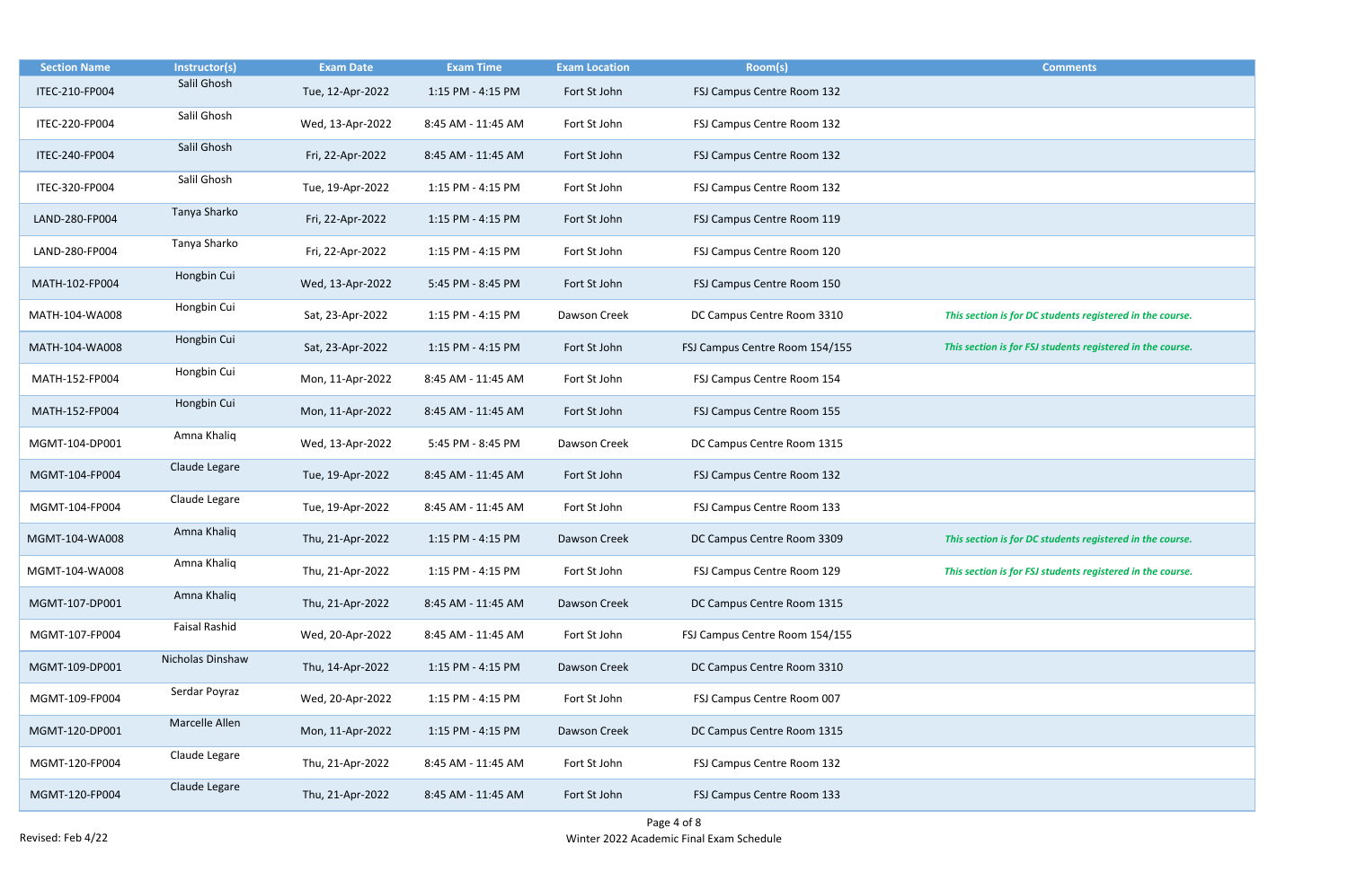| <b>Section Name</b> | Instructor(s)        | <b>Exam Date</b> | <b>Exam Time</b>   | <b>Exam Location</b> | Room(s)                        | <b>Comments</b>                                            |
|---------------------|----------------------|------------------|--------------------|----------------------|--------------------------------|------------------------------------------------------------|
| ITEC-210-FP004      | Salil Ghosh          | Tue, 12-Apr-2022 | 1:15 PM - 4:15 PM  | Fort St John         | FSJ Campus Centre Room 132     |                                                            |
| ITEC-220-FP004      | Salil Ghosh          | Wed, 13-Apr-2022 | 8:45 AM - 11:45 AM | Fort St John         | FSJ Campus Centre Room 132     |                                                            |
| ITEC-240-FP004      | Salil Ghosh          | Fri, 22-Apr-2022 | 8:45 AM - 11:45 AM | Fort St John         | FSJ Campus Centre Room 132     |                                                            |
| ITEC-320-FP004      | Salil Ghosh          | Tue, 19-Apr-2022 | 1:15 PM - 4:15 PM  | Fort St John         | FSJ Campus Centre Room 132     |                                                            |
| LAND-280-FP004      | Tanya Sharko         | Fri, 22-Apr-2022 | 1:15 PM - 4:15 PM  | Fort St John         | FSJ Campus Centre Room 119     |                                                            |
| LAND-280-FP004      | Tanya Sharko         | Fri, 22-Apr-2022 | 1:15 PM - 4:15 PM  | Fort St John         | FSJ Campus Centre Room 120     |                                                            |
| MATH-102-FP004      | Hongbin Cui          | Wed, 13-Apr-2022 | 5:45 PM - 8:45 PM  | Fort St John         | FSJ Campus Centre Room 150     |                                                            |
| MATH-104-WA008      | Hongbin Cui          | Sat, 23-Apr-2022 | 1:15 PM - 4:15 PM  | Dawson Creek         | DC Campus Centre Room 3310     | This section is for DC students registered in the course.  |
| MATH-104-WA008      | Hongbin Cui          | Sat, 23-Apr-2022 | 1:15 PM - 4:15 PM  | Fort St John         | FSJ Campus Centre Room 154/155 | This section is for FSJ students registered in the course. |
| MATH-152-FP004      | Hongbin Cui          | Mon, 11-Apr-2022 | 8:45 AM - 11:45 AM | Fort St John         | FSJ Campus Centre Room 154     |                                                            |
| MATH-152-FP004      | Hongbin Cui          | Mon, 11-Apr-2022 | 8:45 AM - 11:45 AM | Fort St John         | FSJ Campus Centre Room 155     |                                                            |
| MGMT-104-DP001      | Amna Khaliq          | Wed, 13-Apr-2022 | 5:45 PM - 8:45 PM  | Dawson Creek         | DC Campus Centre Room 1315     |                                                            |
| MGMT-104-FP004      | Claude Legare        | Tue, 19-Apr-2022 | 8:45 AM - 11:45 AM | Fort St John         | FSJ Campus Centre Room 132     |                                                            |
| MGMT-104-FP004      | Claude Legare        | Tue, 19-Apr-2022 | 8:45 AM - 11:45 AM | Fort St John         | FSJ Campus Centre Room 133     |                                                            |
| MGMT-104-WA008      | Amna Khaliq          | Thu, 21-Apr-2022 | 1:15 PM - 4:15 PM  | Dawson Creek         | DC Campus Centre Room 3309     | This section is for DC students registered in the course.  |
| MGMT-104-WA008      | Amna Khaliq          | Thu, 21-Apr-2022 | 1:15 PM - 4:15 PM  | Fort St John         | FSJ Campus Centre Room 129     | This section is for FSJ students registered in the course. |
| MGMT-107-DP001      | Amna Khaliq          | Thu, 21-Apr-2022 | 8:45 AM - 11:45 AM | Dawson Creek         | DC Campus Centre Room 1315     |                                                            |
| MGMT-107-FP004      | <b>Faisal Rashid</b> | Wed, 20-Apr-2022 | 8:45 AM - 11:45 AM | Fort St John         | FSJ Campus Centre Room 154/155 |                                                            |
| MGMT-109-DP001      | Nicholas Dinshaw     | Thu, 14-Apr-2022 | 1:15 PM - 4:15 PM  | Dawson Creek         | DC Campus Centre Room 3310     |                                                            |
| MGMT-109-FP004      | Serdar Poyraz        | Wed, 20-Apr-2022 | 1:15 PM - 4:15 PM  | Fort St John         | FSJ Campus Centre Room 007     |                                                            |
| MGMT-120-DP001      | Marcelle Allen       | Mon, 11-Apr-2022 | 1:15 PM - 4:15 PM  | Dawson Creek         | DC Campus Centre Room 1315     |                                                            |
| MGMT-120-FP004      | Claude Legare        | Thu, 21-Apr-2022 | 8:45 AM - 11:45 AM | Fort St John         | FSJ Campus Centre Room 132     |                                                            |
| MGMT-120-FP004      | Claude Legare        | Thu, 21-Apr-2022 | 8:45 AM - 11:45 AM | Fort St John         | FSJ Campus Centre Room 133     |                                                            |

| <b>Comments</b>                                 |
|-------------------------------------------------|
|                                                 |
|                                                 |
|                                                 |
|                                                 |
|                                                 |
|                                                 |
|                                                 |
|                                                 |
|                                                 |
|                                                 |
|                                                 |
|                                                 |
|                                                 |
|                                                 |
|                                                 |
|                                                 |
|                                                 |
| In is for DC students registered in the course. |
|                                                 |
|                                                 |
| n is for FSJ students registered in the course. |
|                                                 |
|                                                 |
|                                                 |
|                                                 |
|                                                 |
|                                                 |
|                                                 |
|                                                 |
|                                                 |
|                                                 |
|                                                 |
|                                                 |
|                                                 |
| In is for DC students registered in the course. |
|                                                 |
| n is for FSJ students registered in the course. |
|                                                 |
|                                                 |
|                                                 |
|                                                 |
|                                                 |
|                                                 |
|                                                 |
|                                                 |
|                                                 |
|                                                 |
|                                                 |
|                                                 |
|                                                 |
|                                                 |
|                                                 |
|                                                 |
|                                                 |
|                                                 |
|                                                 |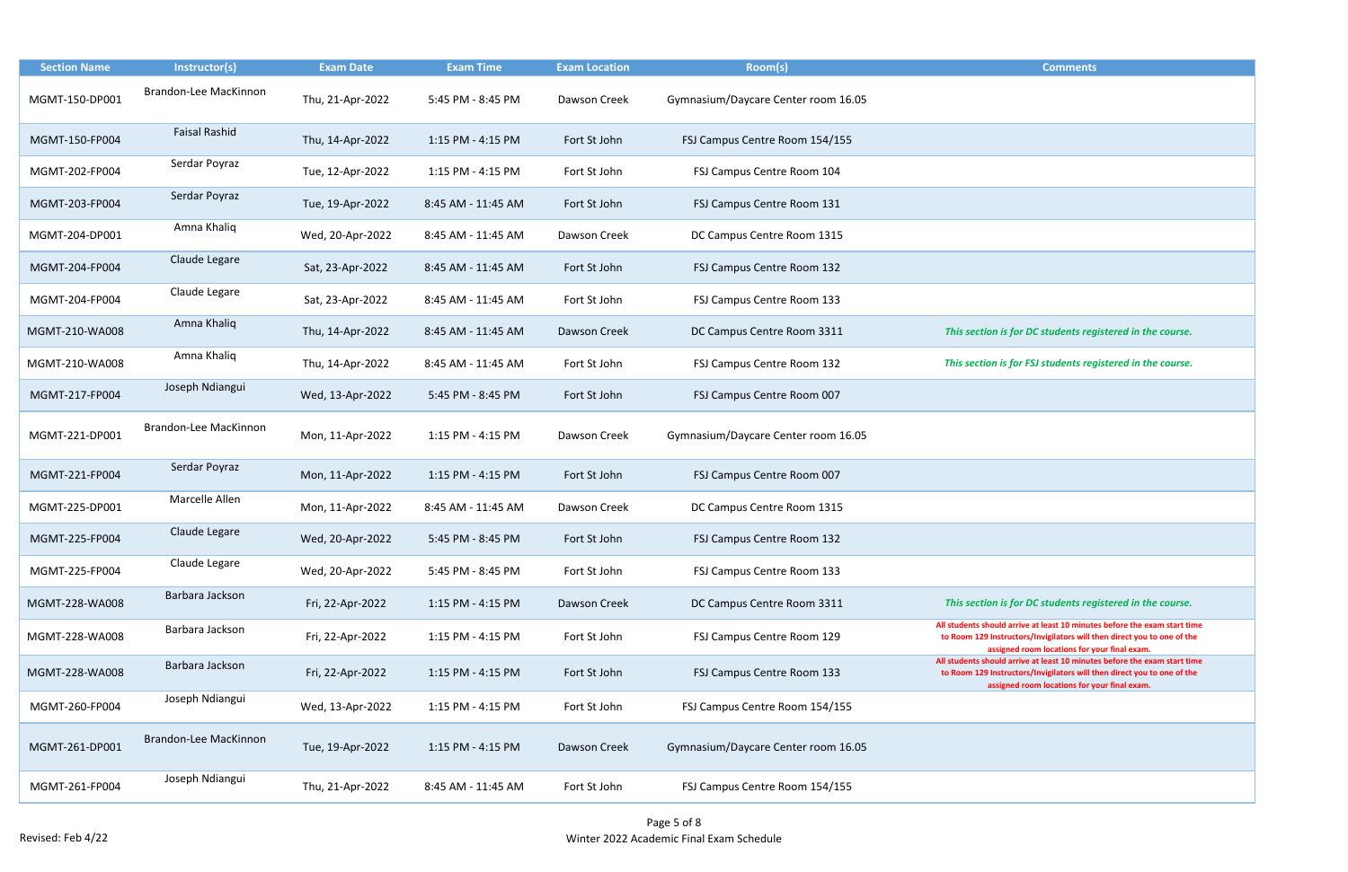| <b>Section Name</b> | Instructor(s)         | <b>Exam Date</b> | <b>Exam Time</b>   | <b>Exam Location</b> | Room(s)                             | <b>Comments</b>                                                                                                                                                                                    |
|---------------------|-----------------------|------------------|--------------------|----------------------|-------------------------------------|----------------------------------------------------------------------------------------------------------------------------------------------------------------------------------------------------|
| MGMT-150-DP001      | Brandon-Lee MacKinnon | Thu, 21-Apr-2022 | 5:45 PM - 8:45 PM  | Dawson Creek         | Gymnasium/Daycare Center room 16.05 |                                                                                                                                                                                                    |
| MGMT-150-FP004      | <b>Faisal Rashid</b>  | Thu, 14-Apr-2022 | 1:15 PM - 4:15 PM  | Fort St John         | FSJ Campus Centre Room 154/155      |                                                                                                                                                                                                    |
| MGMT-202-FP004      | Serdar Poyraz         | Tue, 12-Apr-2022 | 1:15 PM - 4:15 PM  | Fort St John         | FSJ Campus Centre Room 104          |                                                                                                                                                                                                    |
| MGMT-203-FP004      | Serdar Poyraz         | Tue, 19-Apr-2022 | 8:45 AM - 11:45 AM | Fort St John         | FSJ Campus Centre Room 131          |                                                                                                                                                                                                    |
| MGMT-204-DP001      | Amna Khaliq           | Wed, 20-Apr-2022 | 8:45 AM - 11:45 AM | Dawson Creek         | DC Campus Centre Room 1315          |                                                                                                                                                                                                    |
| MGMT-204-FP004      | Claude Legare         | Sat, 23-Apr-2022 | 8:45 AM - 11:45 AM | Fort St John         | FSJ Campus Centre Room 132          |                                                                                                                                                                                                    |
| MGMT-204-FP004      | Claude Legare         | Sat, 23-Apr-2022 | 8:45 AM - 11:45 AM | Fort St John         | FSJ Campus Centre Room 133          |                                                                                                                                                                                                    |
| MGMT-210-WA008      | Amna Khaliq           | Thu, 14-Apr-2022 | 8:45 AM - 11:45 AM | Dawson Creek         | DC Campus Centre Room 3311          | This section is for DC students registered in the course.                                                                                                                                          |
| MGMT-210-WA008      | Amna Khaliq           | Thu, 14-Apr-2022 | 8:45 AM - 11:45 AM | Fort St John         | FSJ Campus Centre Room 132          | This section is for FSJ students registered in the course.                                                                                                                                         |
| MGMT-217-FP004      | Joseph Ndiangui       | Wed, 13-Apr-2022 | 5:45 PM - 8:45 PM  | Fort St John         | FSJ Campus Centre Room 007          |                                                                                                                                                                                                    |
| MGMT-221-DP001      | Brandon-Lee MacKinnon | Mon, 11-Apr-2022 | 1:15 PM - 4:15 PM  | Dawson Creek         | Gymnasium/Daycare Center room 16.05 |                                                                                                                                                                                                    |
| MGMT-221-FP004      | Serdar Poyraz         | Mon, 11-Apr-2022 | 1:15 PM - 4:15 PM  | Fort St John         | FSJ Campus Centre Room 007          |                                                                                                                                                                                                    |
| MGMT-225-DP001      | Marcelle Allen        | Mon, 11-Apr-2022 | 8:45 AM - 11:45 AM | Dawson Creek         | DC Campus Centre Room 1315          |                                                                                                                                                                                                    |
| MGMT-225-FP004      | Claude Legare         | Wed, 20-Apr-2022 | 5:45 PM - 8:45 PM  | Fort St John         | FSJ Campus Centre Room 132          |                                                                                                                                                                                                    |
| MGMT-225-FP004      | Claude Legare         | Wed, 20-Apr-2022 | 5:45 PM - 8:45 PM  | Fort St John         | FSJ Campus Centre Room 133          |                                                                                                                                                                                                    |
| MGMT-228-WA008      | Barbara Jackson       | Fri, 22-Apr-2022 | 1:15 PM - 4:15 PM  | Dawson Creek         | DC Campus Centre Room 3311          | This section is for DC students registered in the course.                                                                                                                                          |
| MGMT-228-WA008      | Barbara Jackson       | Fri, 22-Apr-2022 | 1:15 PM - 4:15 PM  | Fort St John         | FSJ Campus Centre Room 129          | All students should arrive at least 10 minutes before the exam start tir<br>to Room 129 Instructors/Invigilators will then direct you to one of th<br>assigned room locations for your final exam. |
| MGMT-228-WA008      | Barbara Jackson       | Fri, 22-Apr-2022 | 1:15 PM - 4:15 PM  | Fort St John         | FSJ Campus Centre Room 133          | All students should arrive at least 10 minutes before the exam start tir<br>to Room 129 Instructors/Invigilators will then direct you to one of th<br>assigned room locations for your final exam. |
| MGMT-260-FP004      | Joseph Ndiangui       | Wed, 13-Apr-2022 | 1:15 PM - 4:15 PM  | Fort St John         | FSJ Campus Centre Room 154/155      |                                                                                                                                                                                                    |
| MGMT-261-DP001      | Brandon-Lee MacKinnon | Tue, 19-Apr-2022 | 1:15 PM - 4:15 PM  | Dawson Creek         | Gymnasium/Daycare Center room 16.05 |                                                                                                                                                                                                    |
| MGMT-261-FP004      | Joseph Ndiangui       | Thu, 21-Apr-2022 | 8:45 AM - 11:45 AM | Fort St John         | FSJ Campus Centre Room 154/155      |                                                                                                                                                                                                    |

| <b>Comments</b>                                                                                                                                      |
|------------------------------------------------------------------------------------------------------------------------------------------------------|
|                                                                                                                                                      |
|                                                                                                                                                      |
|                                                                                                                                                      |
|                                                                                                                                                      |
|                                                                                                                                                      |
|                                                                                                                                                      |
|                                                                                                                                                      |
|                                                                                                                                                      |
|                                                                                                                                                      |
|                                                                                                                                                      |
| This section is for DC students registered in the course.                                                                                            |
| This section is for FSJ students registered in the course.                                                                                           |
|                                                                                                                                                      |
|                                                                                                                                                      |
|                                                                                                                                                      |
|                                                                                                                                                      |
|                                                                                                                                                      |
|                                                                                                                                                      |
|                                                                                                                                                      |
|                                                                                                                                                      |
|                                                                                                                                                      |
| This section is for DC students registered in the course.                                                                                            |
| All students should arrive at least 10 minutes before the exam start time<br>to Room 129 Instructors/Invigilators will then direct you to one of the |
| assigned room locations for your final exam.<br>All students should arrive at least 10 minutes before the exam start time                            |
| to Room 129 Instructors/Invigilators will then direct you to one of the<br>assigned room locations for your final exam.                              |
|                                                                                                                                                      |
|                                                                                                                                                      |
|                                                                                                                                                      |
|                                                                                                                                                      |
|                                                                                                                                                      |
|                                                                                                                                                      |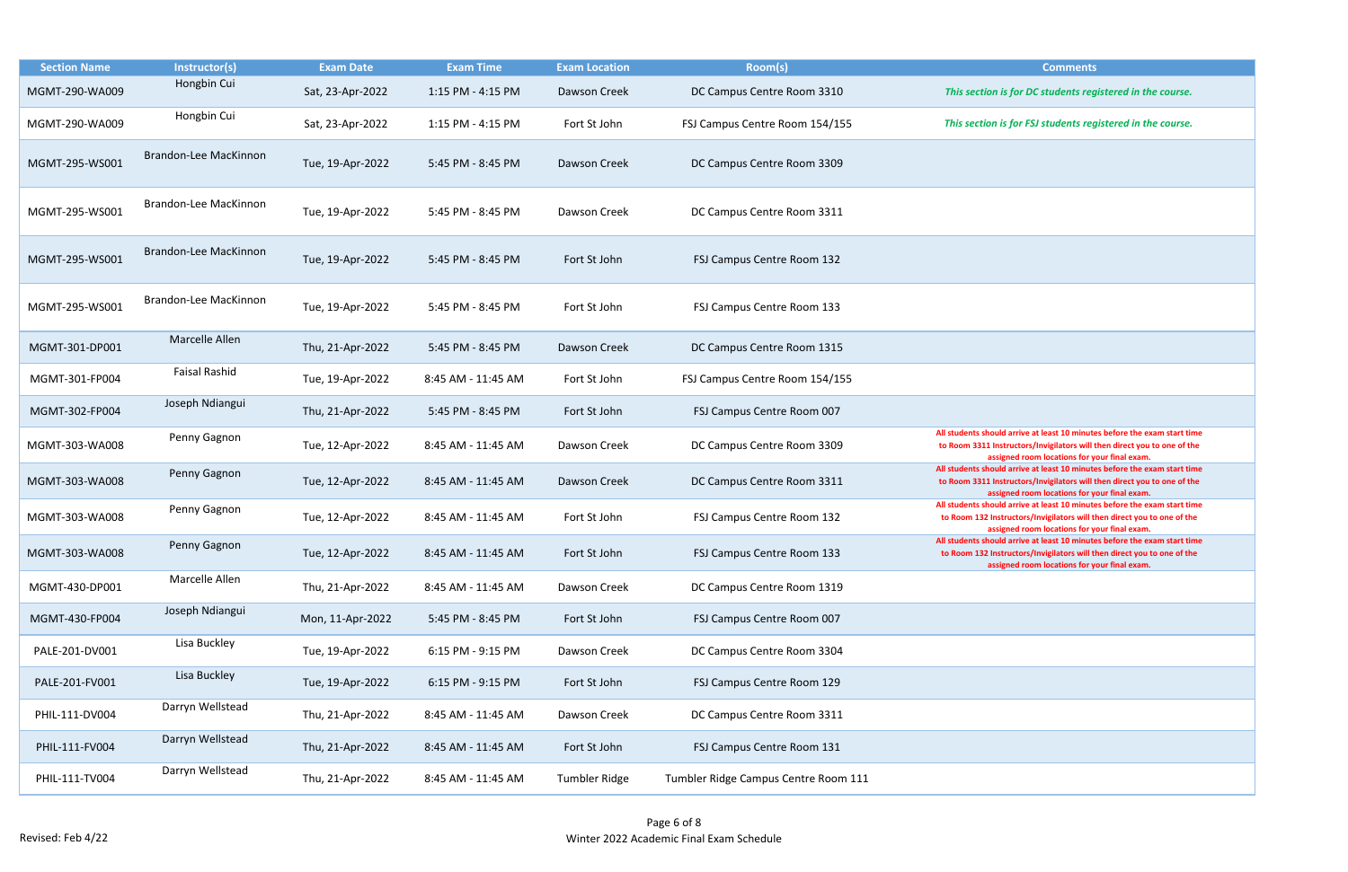| <b>Section Name</b> | Instructor(s)         | <b>Exam Date</b> | <b>Exam Time</b>   | <b>Exam Location</b> | Room(s)                              | <b>Comments</b>                                                                                                                                                                                     |
|---------------------|-----------------------|------------------|--------------------|----------------------|--------------------------------------|-----------------------------------------------------------------------------------------------------------------------------------------------------------------------------------------------------|
| MGMT-290-WA009      | Hongbin Cui           | Sat, 23-Apr-2022 | 1:15 PM - 4:15 PM  | Dawson Creek         | DC Campus Centre Room 3310           | This section is for DC students registered in the course.                                                                                                                                           |
| MGMT-290-WA009      | Hongbin Cui           | Sat, 23-Apr-2022 | 1:15 PM - 4:15 PM  | Fort St John         | FSJ Campus Centre Room 154/155       | This section is for FSJ students registered in the course.                                                                                                                                          |
| MGMT-295-WS001      | Brandon-Lee MacKinnon | Tue, 19-Apr-2022 | 5:45 PM - 8:45 PM  | Dawson Creek         | DC Campus Centre Room 3309           |                                                                                                                                                                                                     |
| MGMT-295-WS001      | Brandon-Lee MacKinnon | Tue, 19-Apr-2022 | 5:45 PM - 8:45 PM  | Dawson Creek         | DC Campus Centre Room 3311           |                                                                                                                                                                                                     |
| MGMT-295-WS001      | Brandon-Lee MacKinnon | Tue, 19-Apr-2022 | 5:45 PM - 8:45 PM  | Fort St John         | FSJ Campus Centre Room 132           |                                                                                                                                                                                                     |
| MGMT-295-WS001      | Brandon-Lee MacKinnon | Tue, 19-Apr-2022 | 5:45 PM - 8:45 PM  | Fort St John         | FSJ Campus Centre Room 133           |                                                                                                                                                                                                     |
| MGMT-301-DP001      | Marcelle Allen        | Thu, 21-Apr-2022 | 5:45 PM - 8:45 PM  | Dawson Creek         | DC Campus Centre Room 1315           |                                                                                                                                                                                                     |
| MGMT-301-FP004      | <b>Faisal Rashid</b>  | Tue, 19-Apr-2022 | 8:45 AM - 11:45 AM | Fort St John         | FSJ Campus Centre Room 154/155       |                                                                                                                                                                                                     |
| MGMT-302-FP004      | Joseph Ndiangui       | Thu, 21-Apr-2022 | 5:45 PM - 8:45 PM  | Fort St John         | FSJ Campus Centre Room 007           |                                                                                                                                                                                                     |
| MGMT-303-WA008      | Penny Gagnon          | Tue, 12-Apr-2022 | 8:45 AM - 11:45 AM | Dawson Creek         | DC Campus Centre Room 3309           | All students should arrive at least 10 minutes before the exam start tir<br>to Room 3311 Instructors/Invigilators will then direct you to one of tl<br>assigned room locations for your final exam. |
| MGMT-303-WA008      | Penny Gagnon          | Tue, 12-Apr-2022 | 8:45 AM - 11:45 AM | Dawson Creek         | DC Campus Centre Room 3311           | All students should arrive at least 10 minutes before the exam start tir<br>to Room 3311 Instructors/Invigilators will then direct you to one of th<br>assigned room locations for your final exam. |
| MGMT-303-WA008      | Penny Gagnon          | Tue, 12-Apr-2022 | 8:45 AM - 11:45 AM | Fort St John         | FSJ Campus Centre Room 132           | All students should arrive at least 10 minutes before the exam start til<br>to Room 132 Instructors/Invigilators will then direct you to one of the<br>assigned room locations for your final exam. |
| MGMT-303-WA008      | Penny Gagnon          | Tue, 12-Apr-2022 | 8:45 AM - 11:45 AM | Fort St John         | FSJ Campus Centre Room 133           | All students should arrive at least 10 minutes before the exam start tir<br>to Room 132 Instructors/Invigilators will then direct you to one of th<br>assigned room locations for your final exam.  |
| MGMT-430-DP001      | Marcelle Allen        | Thu, 21-Apr-2022 | 8:45 AM - 11:45 AM | Dawson Creek         | DC Campus Centre Room 1319           |                                                                                                                                                                                                     |
| MGMT-430-FP004      | Joseph Ndiangui       | Mon, 11-Apr-2022 | 5:45 PM - 8:45 PM  | Fort St John         | FSJ Campus Centre Room 007           |                                                                                                                                                                                                     |
| PALE-201-DV001      | Lisa Buckley          | Tue, 19-Apr-2022 | 6:15 PM - 9:15 PM  | Dawson Creek         | DC Campus Centre Room 3304           |                                                                                                                                                                                                     |
| PALE-201-FV001      | Lisa Buckley          | Tue, 19-Apr-2022 | 6:15 PM - 9:15 PM  | Fort St John         | FSJ Campus Centre Room 129           |                                                                                                                                                                                                     |
| PHIL-111-DV004      | Darryn Wellstead      | Thu, 21-Apr-2022 | 8:45 AM - 11:45 AM | Dawson Creek         | DC Campus Centre Room 3311           |                                                                                                                                                                                                     |
| PHIL-111-FV004      | Darryn Wellstead      | Thu, 21-Apr-2022 | 8:45 AM - 11:45 AM | Fort St John         | FSJ Campus Centre Room 131           |                                                                                                                                                                                                     |
| PHIL-111-TV004      | Darryn Wellstead      | Thu, 21-Apr-2022 | 8:45 AM - 11:45 AM | <b>Tumbler Ridge</b> | Tumbler Ridge Campus Centre Room 111 |                                                                                                                                                                                                     |

| <b>Comments</b>                                                                                                                                       |
|-------------------------------------------------------------------------------------------------------------------------------------------------------|
|                                                                                                                                                       |
| This section is for DC students registered in the course.                                                                                             |
| This section is for FSJ students registered in the course.                                                                                            |
|                                                                                                                                                       |
|                                                                                                                                                       |
|                                                                                                                                                       |
|                                                                                                                                                       |
|                                                                                                                                                       |
|                                                                                                                                                       |
|                                                                                                                                                       |
|                                                                                                                                                       |
|                                                                                                                                                       |
|                                                                                                                                                       |
|                                                                                                                                                       |
|                                                                                                                                                       |
|                                                                                                                                                       |
|                                                                                                                                                       |
| All students should arrive at least 10 minutes before the exam start time<br>to Room 3311 Instructors/Invigilators will then direct you to one of the |
| assigned room locations for your final exam.                                                                                                          |
| All students should arrive at least 10 minutes before the exam start time<br>to Room 3311 Instructors/Invigilators will then direct you to one of the |
| assigned room locations for your final exam.                                                                                                          |
| All students should arrive at least 10 minutes before the exam start time<br>to Room 132 Instructors/Invigilators will then direct you to one of the  |
| assigned room locations for your final exam.                                                                                                          |
| All students should arrive at least 10 minutes before the exam start time<br>to Room 132 Instructors/Invigilators will then direct you to one of the  |
| assigned room locations for your final exam.                                                                                                          |
|                                                                                                                                                       |
|                                                                                                                                                       |
|                                                                                                                                                       |
|                                                                                                                                                       |
|                                                                                                                                                       |
|                                                                                                                                                       |
|                                                                                                                                                       |
|                                                                                                                                                       |
|                                                                                                                                                       |
|                                                                                                                                                       |
|                                                                                                                                                       |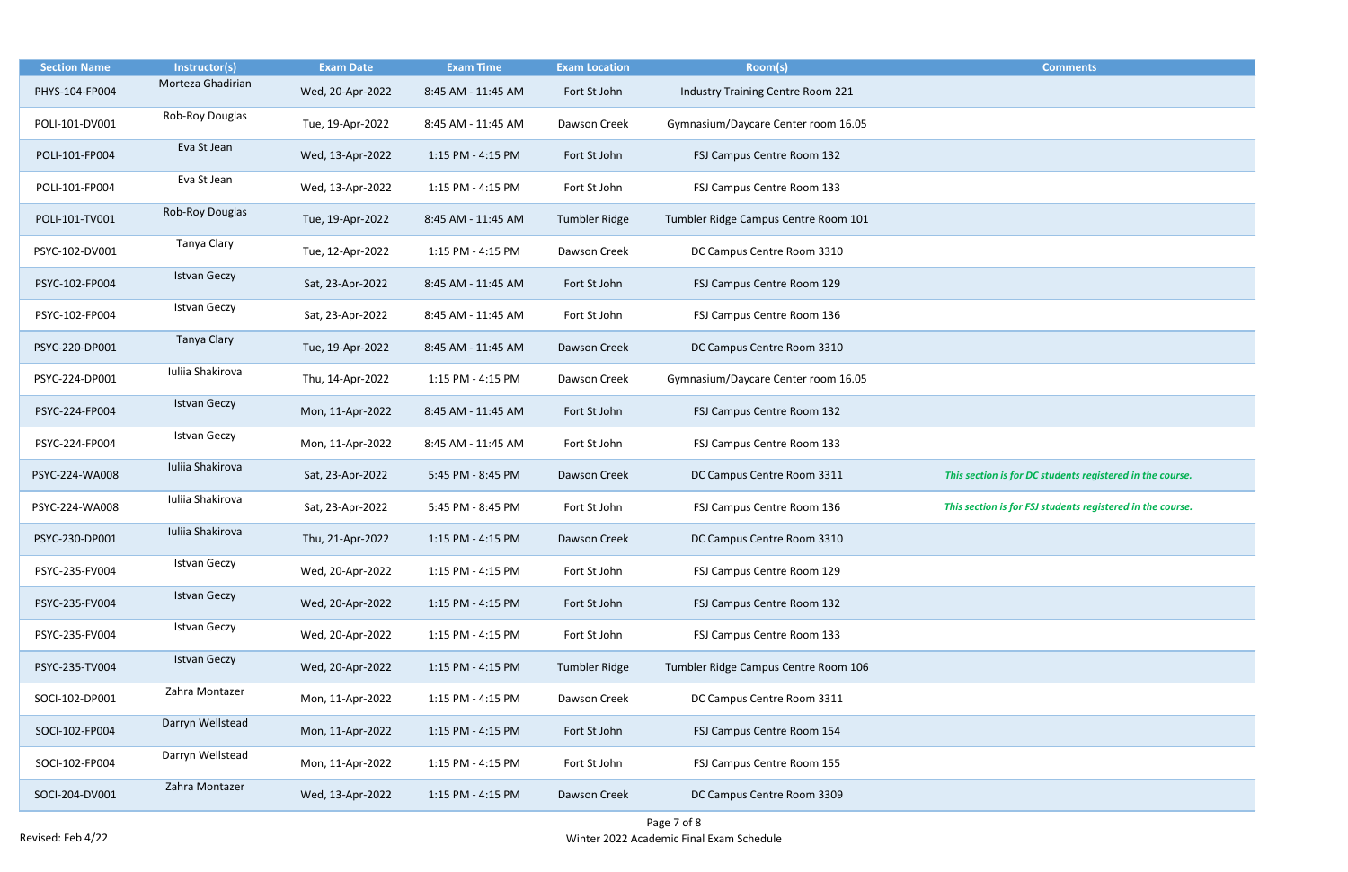| <b>Section Name</b> | Instructor(s)       | <b>Exam Date</b> | <b>Exam Time</b>   | <b>Exam Location</b> | Room(s)                              | <b>Comments</b>                                            |
|---------------------|---------------------|------------------|--------------------|----------------------|--------------------------------------|------------------------------------------------------------|
| PHYS-104-FP004      | Morteza Ghadirian   | Wed, 20-Apr-2022 | 8:45 AM - 11:45 AM | Fort St John         | Industry Training Centre Room 221    |                                                            |
| POLI-101-DV001      | Rob-Roy Douglas     | Tue, 19-Apr-2022 | 8:45 AM - 11:45 AM | Dawson Creek         | Gymnasium/Daycare Center room 16.05  |                                                            |
| POLI-101-FP004      | Eva St Jean         | Wed, 13-Apr-2022 | 1:15 PM - 4:15 PM  | Fort St John         | FSJ Campus Centre Room 132           |                                                            |
| POLI-101-FP004      | Eva St Jean         | Wed, 13-Apr-2022 | 1:15 PM - 4:15 PM  | Fort St John         | FSJ Campus Centre Room 133           |                                                            |
| POLI-101-TV001      | Rob-Roy Douglas     | Tue, 19-Apr-2022 | 8:45 AM - 11:45 AM | <b>Tumbler Ridge</b> | Tumbler Ridge Campus Centre Room 101 |                                                            |
| PSYC-102-DV001      | Tanya Clary         | Tue, 12-Apr-2022 | 1:15 PM - 4:15 PM  | Dawson Creek         | DC Campus Centre Room 3310           |                                                            |
| PSYC-102-FP004      | <b>Istvan Geczy</b> | Sat, 23-Apr-2022 | 8:45 AM - 11:45 AM | Fort St John         | FSJ Campus Centre Room 129           |                                                            |
| PSYC-102-FP004      | <b>Istvan Geczy</b> | Sat, 23-Apr-2022 | 8:45 AM - 11:45 AM | Fort St John         | FSJ Campus Centre Room 136           |                                                            |
| PSYC-220-DP001      | Tanya Clary         | Tue, 19-Apr-2022 | 8:45 AM - 11:45 AM | Dawson Creek         | DC Campus Centre Room 3310           |                                                            |
| PSYC-224-DP001      | Iuliia Shakirova    | Thu, 14-Apr-2022 | 1:15 PM - 4:15 PM  | Dawson Creek         | Gymnasium/Daycare Center room 16.05  |                                                            |
| PSYC-224-FP004      | <b>Istvan Geczy</b> | Mon, 11-Apr-2022 | 8:45 AM - 11:45 AM | Fort St John         | FSJ Campus Centre Room 132           |                                                            |
| PSYC-224-FP004      | <b>Istvan Geczy</b> | Mon, 11-Apr-2022 | 8:45 AM - 11:45 AM | Fort St John         | FSJ Campus Centre Room 133           |                                                            |
| PSYC-224-WA008      | Iuliia Shakirova    | Sat, 23-Apr-2022 | 5:45 PM - 8:45 PM  | Dawson Creek         | DC Campus Centre Room 3311           | This section is for DC students registered in the course.  |
| PSYC-224-WA008      | Iuliia Shakirova    | Sat, 23-Apr-2022 | 5:45 PM - 8:45 PM  | Fort St John         | FSJ Campus Centre Room 136           | This section is for FSJ students registered in the course. |
| PSYC-230-DP001      | Iuliia Shakirova    | Thu, 21-Apr-2022 | 1:15 PM - 4:15 PM  | Dawson Creek         | DC Campus Centre Room 3310           |                                                            |
| PSYC-235-FV004      | <b>Istvan Geczy</b> | Wed, 20-Apr-2022 | 1:15 PM - 4:15 PM  | Fort St John         | FSJ Campus Centre Room 129           |                                                            |
| PSYC-235-FV004      | <b>Istvan Geczy</b> | Wed, 20-Apr-2022 | 1:15 PM - 4:15 PM  | Fort St John         | FSJ Campus Centre Room 132           |                                                            |
| PSYC-235-FV004      | <b>Istvan Geczy</b> | Wed, 20-Apr-2022 | 1:15 PM - 4:15 PM  | Fort St John         | FSJ Campus Centre Room 133           |                                                            |
| PSYC-235-TV004      | <b>Istvan Geczy</b> | Wed, 20-Apr-2022 | 1:15 PM - 4:15 PM  | <b>Tumbler Ridge</b> | Tumbler Ridge Campus Centre Room 106 |                                                            |
| SOCI-102-DP001      | Zahra Montazer      | Mon, 11-Apr-2022 | 1:15 PM - 4:15 PM  | Dawson Creek         | DC Campus Centre Room 3311           |                                                            |
| SOCI-102-FP004      | Darryn Wellstead    | Mon, 11-Apr-2022 | 1:15 PM - 4:15 PM  | Fort St John         | FSJ Campus Centre Room 154           |                                                            |
| SOCI-102-FP004      | Darryn Wellstead    | Mon, 11-Apr-2022 | 1:15 PM - 4:15 PM  | Fort St John         | FSJ Campus Centre Room 155           |                                                            |
| SOCI-204-DV001      | Zahra Montazer      | Wed, 13-Apr-2022 | 1:15 PM - 4:15 PM  | Dawson Creek         | DC Campus Centre Room 3309           |                                                            |

| <b>Comments</b>                                 |  |  |  |  |  |  |  |
|-------------------------------------------------|--|--|--|--|--|--|--|
|                                                 |  |  |  |  |  |  |  |
|                                                 |  |  |  |  |  |  |  |
|                                                 |  |  |  |  |  |  |  |
|                                                 |  |  |  |  |  |  |  |
|                                                 |  |  |  |  |  |  |  |
|                                                 |  |  |  |  |  |  |  |
|                                                 |  |  |  |  |  |  |  |
|                                                 |  |  |  |  |  |  |  |
|                                                 |  |  |  |  |  |  |  |
|                                                 |  |  |  |  |  |  |  |
|                                                 |  |  |  |  |  |  |  |
|                                                 |  |  |  |  |  |  |  |
|                                                 |  |  |  |  |  |  |  |
|                                                 |  |  |  |  |  |  |  |
|                                                 |  |  |  |  |  |  |  |
|                                                 |  |  |  |  |  |  |  |
|                                                 |  |  |  |  |  |  |  |
| n is for DC students registered in the course.  |  |  |  |  |  |  |  |
| n is for FSJ students registered in the course. |  |  |  |  |  |  |  |
|                                                 |  |  |  |  |  |  |  |
|                                                 |  |  |  |  |  |  |  |
|                                                 |  |  |  |  |  |  |  |
|                                                 |  |  |  |  |  |  |  |
|                                                 |  |  |  |  |  |  |  |
|                                                 |  |  |  |  |  |  |  |
|                                                 |  |  |  |  |  |  |  |
|                                                 |  |  |  |  |  |  |  |
|                                                 |  |  |  |  |  |  |  |
|                                                 |  |  |  |  |  |  |  |
|                                                 |  |  |  |  |  |  |  |
|                                                 |  |  |  |  |  |  |  |
|                                                 |  |  |  |  |  |  |  |